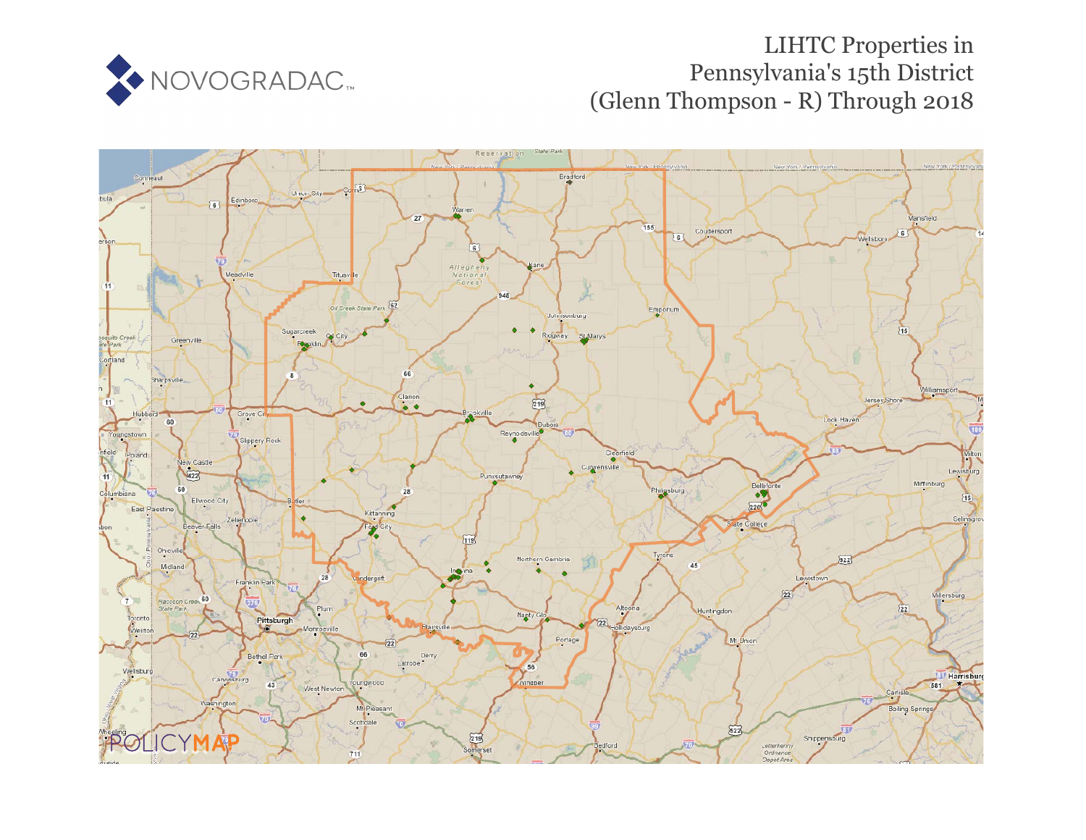

# LIHTC Properties in Pennsylvania's 15th District (Glenn Thompson - R) Through 2018

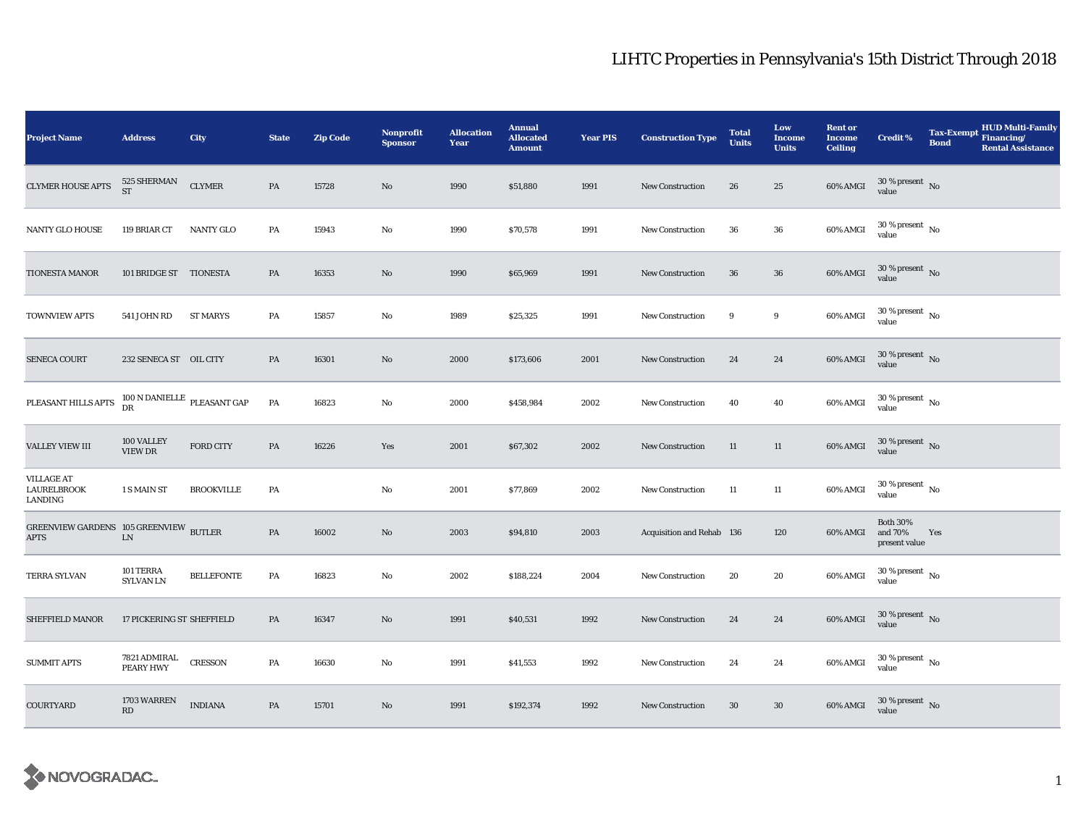| <b>Project Name</b>                                   | <b>Address</b>                        | City              | <b>State</b>  | <b>Zip Code</b> | <b>Nonprofit</b><br><b>Sponsor</b> | <b>Allocation</b><br>Year | <b>Annual</b><br><b>Allocated</b><br><b>Amount</b> | <b>Year PIS</b> | <b>Construction Type</b>  | <b>Total</b><br><b>Units</b> | Low<br>Income<br><b>Units</b> | <b>Rent or</b><br><b>Income</b><br><b>Ceiling</b> | <b>Credit %</b>                             | <b>Tax-Exempt</b><br><b>Bond</b> | <b>HUD Multi-Family</b><br>Financing/<br><b>Rental Assistance</b> |
|-------------------------------------------------------|---------------------------------------|-------------------|---------------|-----------------|------------------------------------|---------------------------|----------------------------------------------------|-----------------|---------------------------|------------------------------|-------------------------------|---------------------------------------------------|---------------------------------------------|----------------------------------|-------------------------------------------------------------------|
| <b>CLYMER HOUSE APTS</b>                              | $525\,$ SHERMAN<br><b>ST</b>          | <b>CLYMER</b>     | $\mathbf{PA}$ | 15728           | $\rm No$                           | 1990                      | \$51,880                                           | 1991            | <b>New Construction</b>   | 26                           | 25                            | 60% AMGI                                          | $30$ % present $\,$ No value                |                                  |                                                                   |
| <b>NANTY GLO HOUSE</b>                                | 119 BRIAR CT                          | <b>NANTY GLO</b>  | PA            | 15943           | No                                 | 1990                      | \$70,578                                           | 1991            | <b>New Construction</b>   | 36                           | 36                            | 60% AMGI                                          | $30\,\%$ present $\,$ No $\,$<br>value      |                                  |                                                                   |
| <b>TIONESTA MANOR</b>                                 | 101 BRIDGE ST TIONESTA                |                   | PA            | 16353           | No                                 | 1990                      | \$65,969                                           | 1991            | <b>New Construction</b>   | 36                           | $36\,$                        | 60% AMGI                                          | $30$ % present $\,$ No value                |                                  |                                                                   |
| <b>TOWNVIEW APTS</b>                                  | 541 JOHN RD                           | ST MARYS          | PA            | 15857           | No                                 | 1989                      | \$25,325                                           | 1991            | <b>New Construction</b>   | 9                            | 9                             | 60% AMGI                                          | $30\,\%$ present $\,$ No value              |                                  |                                                                   |
| <b>SENECA COURT</b>                                   | 232 SENECA ST OIL CITY                |                   | PA            | 16301           | $\mathbf{N}\mathbf{o}$             | 2000                      | \$173,606                                          | 2001            | <b>New Construction</b>   | 24                           | 24                            | 60% AMGI                                          | $30$ % present $\,$ No value                |                                  |                                                                   |
| PLEASANT HILLS APTS                                   | $100$ N DANIELLE $\,$ PLEASANT GAP DR |                   | PA            | 16823           | $\mathbf{No}$                      | 2000                      | \$458,984                                          | 2002            | <b>New Construction</b>   | 40                           | ${\bf 40}$                    | 60% AMGI                                          | $30$ % present $_{\rm{No}}$                 |                                  |                                                                   |
| <b>VALLEY VIEW III</b>                                | 100 VALLEY<br><b>VIEW DR</b>          | <b>FORD CITY</b>  | PA            | 16226           | Yes                                | 2001                      | \$67,302                                           | 2002            | <b>New Construction</b>   | 11                           | 11                            | 60% AMGI                                          | $30\,\%$ present $\,$ No value              |                                  |                                                                   |
| <b>VILLAGE AT</b><br><b>LAURELBROOK</b><br>LANDING    | 1 S MAIN ST                           | <b>BROOKVILLE</b> | PA            |                 | No                                 | 2001                      | \$77,869                                           | 2002            | <b>New Construction</b>   | 11                           | 11                            | 60% AMGI                                          | $30$ % present $\,$ No $\,$<br>value        |                                  |                                                                   |
| GREENVIEW GARDENS 105 GREENVIEW BUTLER<br><b>APTS</b> | ${\rm LN}$                            |                   | $\mathbf{PA}$ | 16002           | $\mathbf{No}$                      | 2003                      | \$94,810                                           | 2003            | Acquisition and Rehab 136 |                              | 120                           | 60% AMGI                                          | <b>Both 30%</b><br>and 70%<br>present value | Yes                              |                                                                   |
| TERRA SYLVAN                                          | 101 TERRA<br><b>SYLVAN LN</b>         | <b>BELLEFONTE</b> | PA            | 16823           | No                                 | 2002                      | \$188,224                                          | 2004            | New Construction          | 20                           | 20                            | 60% AMGI                                          | $30$ % present $\,$ No $\,$<br>value        |                                  |                                                                   |
| SHEFFIELD MANOR                                       | 17 PICKERING ST SHEFFIELD             |                   | PA            | 16347           | No                                 | 1991                      | \$40,531                                           | 1992            | <b>New Construction</b>   | 24                           | 24                            | 60% AMGI                                          | $30\ \%$ present $\hbox{~No}$               |                                  |                                                                   |
| <b>SUMMIT APTS</b>                                    | 7821 ADMIRAL<br><b>PEARY HWY</b>      | <b>CRESSON</b>    | PA            | 16630           | $\mathbf{No}$                      | 1991                      | \$41,553                                           | 1992            | <b>New Construction</b>   | 24                           | 24                            | 60% AMGI                                          | $30\,\%$ present $\,$ No value              |                                  |                                                                   |
| COURTYARD                                             | 1703 WARREN<br>RD                     | <b>INDIANA</b>    | PA            | 15701           | No                                 | 1991                      | \$192,374                                          | 1992            | <b>New Construction</b>   | 30                           | $30\,$                        | 60% AMGI                                          | $30$ % present $\,$ No value                |                                  |                                                                   |

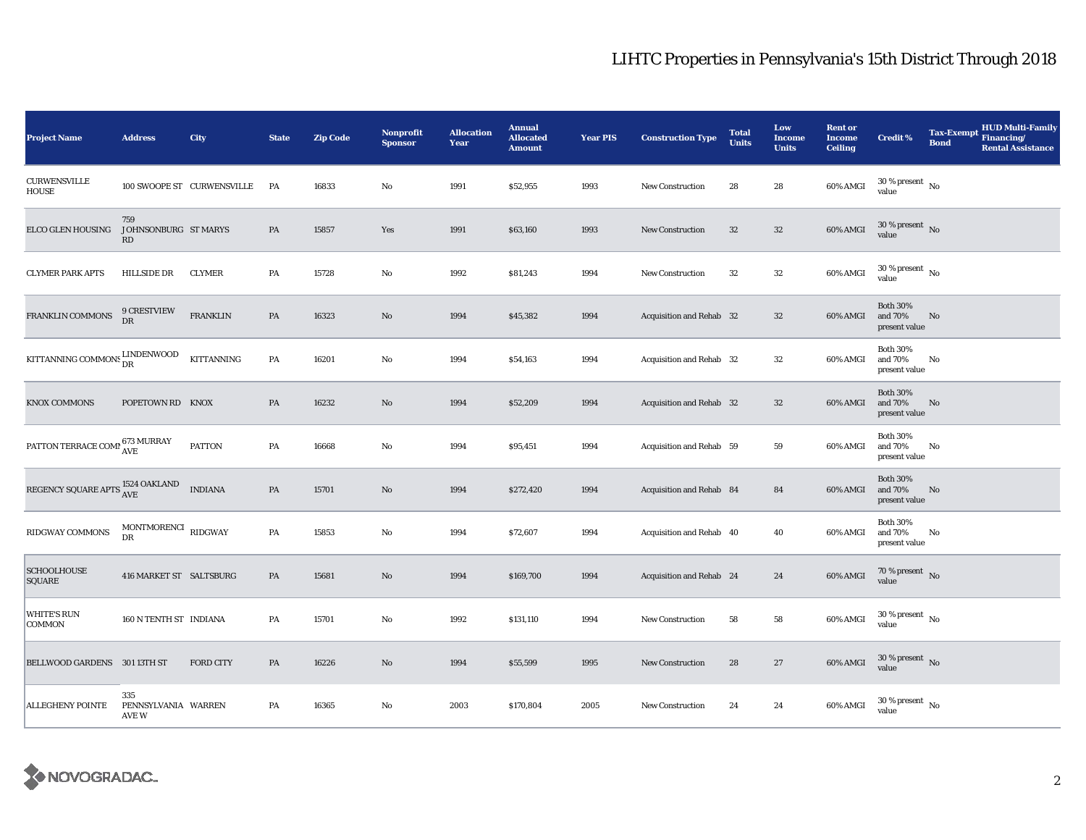| <b>Project Name</b>                                  | <b>Address</b>                      | City                       | <b>State</b> | <b>Zip Code</b> | <b>Nonprofit</b><br><b>Sponsor</b> | <b>Allocation</b><br>Year | <b>Annual</b><br><b>Allocated</b><br><b>Amount</b> | <b>Year PIS</b> | <b>Construction Type</b> | <b>Total</b><br><b>Units</b> | Low<br><b>Income</b><br><b>Units</b> | <b>Rent or</b><br><b>Income</b><br><b>Ceiling</b> | <b>Credit %</b>                             | <b>HUD Multi-Family</b><br>Tax-Exempt Financing/<br><b>Bond</b><br><b>Rental Assistance</b> |
|------------------------------------------------------|-------------------------------------|----------------------------|--------------|-----------------|------------------------------------|---------------------------|----------------------------------------------------|-----------------|--------------------------|------------------------------|--------------------------------------|---------------------------------------------------|---------------------------------------------|---------------------------------------------------------------------------------------------|
| <b>CURWENSVILLE</b><br>HOUSE                         |                                     | 100 SWOOPE ST CURWENSVILLE | <b>PA</b>    | 16833           | $\mathbf{No}$                      | 1991                      | \$52,955                                           | 1993            | New Construction         | 28                           | 28                                   | 60% AMGI                                          | $30\,\%$ present $\,$ No value              |                                                                                             |
| ELCO GLEN HOUSING                                    | 759<br>JOHNSONBURG ST MARYS<br>RD   |                            | PA           | 15857           | Yes                                | 1991                      | \$63,160                                           | 1993            | <b>New Construction</b>  | $32\,$                       | $32\,$                               | 60% AMGI                                          | $30\,\%$ present $\,$ No $\,$<br>value      |                                                                                             |
| <b>CLYMER PARK APTS</b>                              | HILLSIDE DR                         | <b>CLYMER</b>              | PA           | 15728           | No                                 | 1992                      | \$81,243                                           | 1994            | New Construction         | 32                           | $32\,$                               | 60% AMGI                                          | $30\,\%$ present $\,$ No value              |                                                                                             |
| FRANKLIN COMMONS                                     | <b>9 CRESTVIEW</b><br>DR            | <b>FRANKLIN</b>            | PA           | 16323           | $\mathbf{N}\mathbf{o}$             | 1994                      | \$45,382                                           | 1994            | Acquisition and Rehab 32 |                              | $32\,$                               | 60% AMGI                                          | <b>Both 30%</b><br>and 70%<br>present value | No                                                                                          |
| KITTANNING COMMONS $_{\rm{DR}}^{\rm{LINDENWOOD}}$    |                                     | KITTANNING                 | PA           | 16201           | No                                 | 1994                      | \$54,163                                           | 1994            | Acquisition and Rehab 32 |                              | $32\,$                               | 60% AMGI                                          | <b>Both 30%</b><br>and 70%<br>present value | No                                                                                          |
| KNOX COMMONS                                         | POPETOWN RD KNOX                    |                            | PA           | 16232           | No                                 | 1994                      | \$52,209                                           | 1994            | Acquisition and Rehab 32 |                              | $32\,$                               | 60% AMGI                                          | <b>Both 30%</b><br>and 70%<br>present value | No                                                                                          |
| PATTON TERRACE COMP $_{\rm AVE}^{673\text{ MURRAY}}$ |                                     | <b>PATTON</b>              | PA           | 16668           | No                                 | 1994                      | \$95,451                                           | 1994            | Acquisition and Rehab 59 |                              | 59                                   | 60% AMGI                                          | <b>Both 30%</b><br>and 70%<br>present value | No                                                                                          |
| REGENCY SQUARE APTS $_{\rm AVE}^{1524\rm~OAKLAND}$   |                                     | <b>INDIANA</b>             | PA           | 15701           | $\mathbf{N}\mathbf{o}$             | 1994                      | \$272,420                                          | 1994            | Acquisition and Rehab 84 |                              | 84                                   | 60% AMGI                                          | <b>Both 30%</b><br>and 70%<br>present value | No                                                                                          |
| RIDGWAY COMMONS                                      | $\,$ MONTMORENCI $\,$ RIDGWAY<br>DR |                            | PA           | 15853           | No                                 | 1994                      | \$72,607                                           | 1994            | Acquisition and Rehab 40 |                              | 40                                   | 60% AMGI                                          | <b>Both 30%</b><br>and 70%<br>present value | No                                                                                          |
| <b>SCHOOLHOUSE</b><br><b>SQUARE</b>                  | 416 MARKET ST SALTSBURG             |                            | PA           | 15681           | $\mathbf{N}\mathbf{o}$             | 1994                      | \$169,700                                          | 1994            | Acquisition and Rehab 24 |                              | 24                                   | 60% AMGI                                          | $70\,\%$ present $$$ No value               |                                                                                             |
| <b>WHITE'S RUN</b><br>COMMON                         | 160 N TENTH ST INDIANA              |                            | PA           | 15701           | No                                 | 1992                      | \$131,110                                          | 1994            | <b>New Construction</b>  | 58                           | 58                                   | 60% AMGI                                          | $30$ % present $\,$ No $\,$<br>value        |                                                                                             |
| BELLWOOD GARDENS 301 13TH ST                         |                                     | <b>FORD CITY</b>           | PA           | 16226           | $\mathbf{N}\mathbf{o}$             | 1994                      | \$55,599                                           | 1995            | <b>New Construction</b>  | 28                           | 27                                   | 60% AMGI                                          | $30\,\%$ present $\,$ No value              |                                                                                             |
| <b>ALLEGHENY POINTE</b>                              | 335<br>PENNSYLVANIA WARREN<br>AVE W |                            | PA           | 16365           | No                                 | 2003                      | \$170,804                                          | 2005            | New Construction         | 24                           | 24                                   | 60% AMGI                                          | $30\,\%$ present $_{\, \rm No}$<br>value    |                                                                                             |

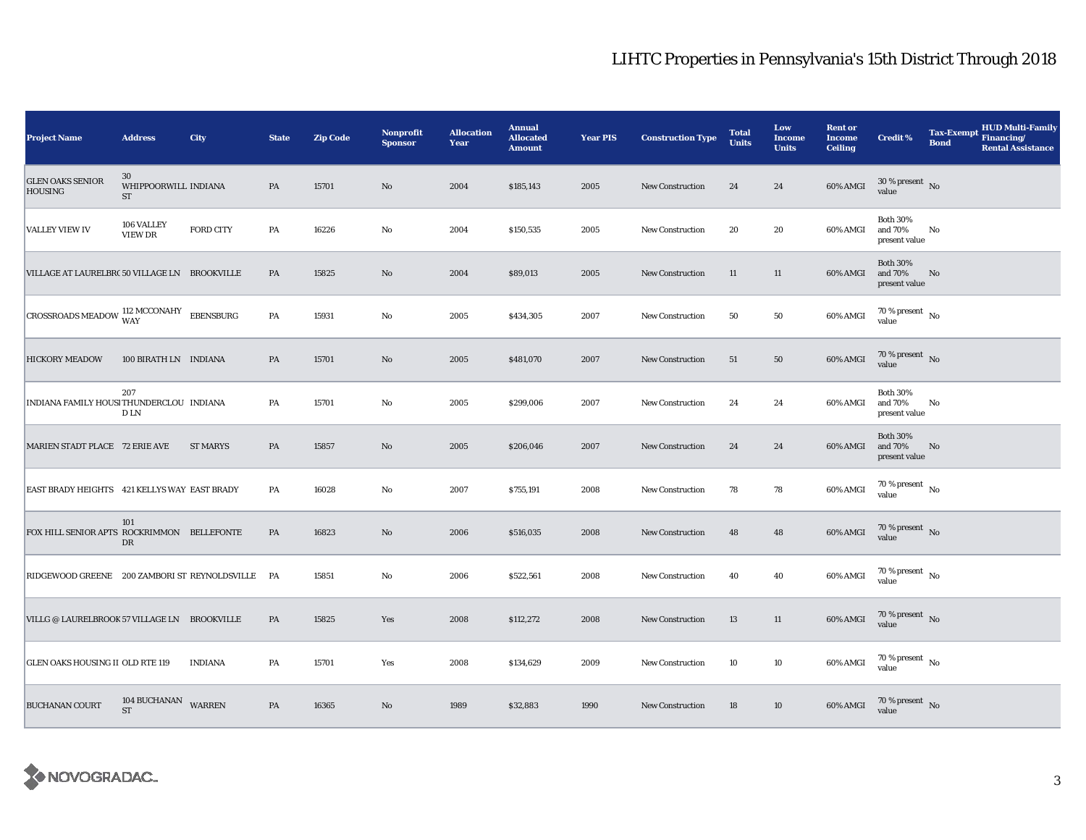| <b>Project Name</b>                                                                                                               | <b>Address</b>                                    | City             | <b>State</b> | <b>Zip Code</b> | <b>Nonprofit</b><br><b>Sponsor</b> | <b>Allocation</b><br>Year | <b>Annual</b><br><b>Allocated</b><br><b>Amount</b> | <b>Year PIS</b> | <b>Construction Type</b> | <b>Total</b><br><b>Units</b> | Low<br><b>Income</b><br><b>Units</b> | <b>Rent or</b><br><b>Income</b><br><b>Ceiling</b> | <b>Credit %</b>                             | <b>Tax-Exempt</b><br><b>Bond</b> | <b>HUD Multi-Family</b><br>Financing/<br><b>Rental Assistance</b> |
|-----------------------------------------------------------------------------------------------------------------------------------|---------------------------------------------------|------------------|--------------|-----------------|------------------------------------|---------------------------|----------------------------------------------------|-----------------|--------------------------|------------------------------|--------------------------------------|---------------------------------------------------|---------------------------------------------|----------------------------------|-------------------------------------------------------------------|
| <b>GLEN OAKS SENIOR</b><br><b>HOUSING</b>                                                                                         | 30<br>WHIPPOORWILL INDIANA<br>$\operatorname{ST}$ |                  | PA           | 15701           | No                                 | 2004                      | \$185,143                                          | 2005            | <b>New Construction</b>  | 24                           | 24                                   | 60% AMGI                                          | $30$ % present $\,$ No $\,$<br>value        |                                  |                                                                   |
| <b>VALLEY VIEW IV</b>                                                                                                             | 106 VALLEY<br><b>VIEW DR</b>                      | <b>FORD CITY</b> | PA           | 16226           | No                                 | 2004                      | \$150,535                                          | 2005            | <b>New Construction</b>  | 20                           | 20                                   | 60% AMGI                                          | <b>Both 30%</b><br>and 70%<br>present value | No                               |                                                                   |
| VILLAGE AT LAURELBR(50 VILLAGE LN BROOKVILLE                                                                                      |                                                   |                  | PA           | 15825           | $\rm No$                           | 2004                      | \$89,013                                           | 2005            | <b>New Construction</b>  | 11                           | 11                                   | 60% AMGI                                          | <b>Both 30%</b><br>and 70%<br>present value | No                               |                                                                   |
| $\begin{array}{ l } \hline \texttt{CROSSROADS MEADOW} \texttt{ } ^{112}\texttt{MCCONAHY} & \texttt{EBENSBURG} \hline \end{array}$ |                                                   |                  | PA           | 15931           | No                                 | 2005                      | \$434,305                                          | 2007            | <b>New Construction</b>  | 50                           | 50                                   | 60% AMGI                                          | 70 % present $\hbox{~No}$<br>value          |                                  |                                                                   |
| <b>HICKORY MEADOW</b>                                                                                                             | 100 BIRATH LN INDIANA                             |                  | PA           | 15701           | $\rm No$                           | 2005                      | \$481,070                                          | 2007            | <b>New Construction</b>  | 51                           | 50                                   | 60% AMGI                                          | $70\,\%$ present $\,$ No $\,$<br>value      |                                  |                                                                   |
| INDIANA FAMILY HOUSI THUNDERCLOU INDIANA                                                                                          | 207<br>D LN                                       |                  | PA           | 15701           | No                                 | 2005                      | \$299,006                                          | 2007            | <b>New Construction</b>  | 24                           | 24                                   | 60% AMGI                                          | <b>Both 30%</b><br>and 70%<br>present value | No                               |                                                                   |
| MARIEN STADT PLACE 72 ERIE AVE                                                                                                    |                                                   | <b>ST MARYS</b>  | PA           | 15857           | No                                 | 2005                      | \$206,046                                          | 2007            | <b>New Construction</b>  | 24                           | 24                                   | 60% AMGI                                          | <b>Both 30%</b><br>and 70%<br>present value | No                               |                                                                   |
| EAST BRADY HEIGHTS 421 KELLYS WAY EAST BRADY                                                                                      |                                                   |                  | PA           | 16028           | No                                 | 2007                      | \$755,191                                          | 2008            | <b>New Construction</b>  | 78                           | 78                                   | 60% AMGI                                          | $70\,\%$ present $\,$ No value              |                                  |                                                                   |
| FOX HILL SENIOR APTS ROCKRIMMON BELLEFONTE                                                                                        | 101<br>DR                                         |                  | PA           | 16823           | No                                 | 2006                      | \$516,035                                          | 2008            | <b>New Construction</b>  | 48                           | 48                                   | 60% AMGI                                          | 70 % present No<br>value                    |                                  |                                                                   |
| RIDGEWOOD GREENE 200 ZAMBORI ST REYNOLDSVILLE PA                                                                                  |                                                   |                  |              | 15851           | $\rm No$                           | 2006                      | \$522,561                                          | 2008            | <b>New Construction</b>  | 40                           | 40                                   | 60% AMGI                                          | $70$ % present $\,$ No $\,$<br>value        |                                  |                                                                   |
| VILLG @ LAURELBROOK 57 VILLAGE LN BROOKVILLE                                                                                      |                                                   |                  | PA           | 15825           | Yes                                | 2008                      | \$112,272                                          | 2008            | New Construction         | 13                           | 11                                   | 60% AMGI                                          | $70\%$ present No<br>value                  |                                  |                                                                   |
| <b>GLEN OAKS HOUSING II OLD RTE 119</b>                                                                                           |                                                   | <b>INDIANA</b>   | PA           | 15701           | Yes                                | 2008                      | \$134,629                                          | 2009            | New Construction         | 10                           | 10                                   | 60% AMGI                                          | $70$ % present $\,$ No $\,$<br>value        |                                  |                                                                   |
| <b>BUCHANAN COURT</b>                                                                                                             | 104 BUCHANAN WARREN<br><b>ST</b>                  |                  | PA           | 16365           | No                                 | 1989                      | \$32,883                                           | 1990            | <b>New Construction</b>  | 18                           | 10                                   | 60% AMGI                                          | $70$ % present $\,$ No value                |                                  |                                                                   |

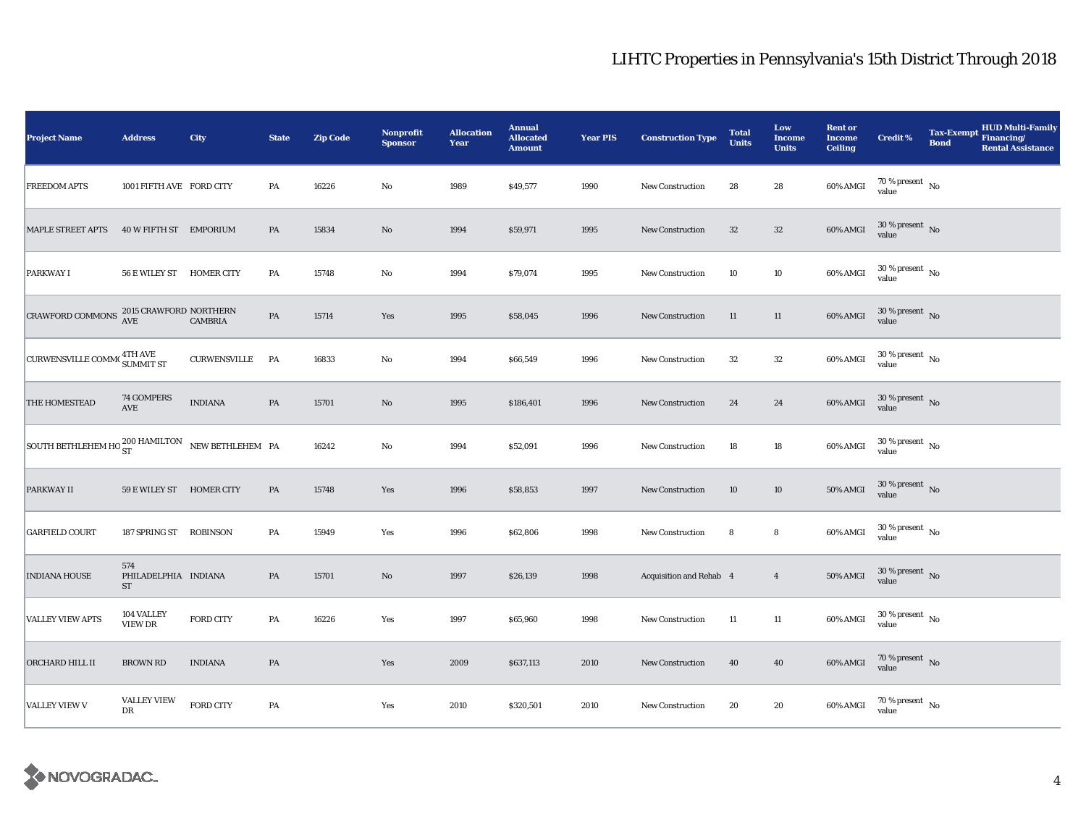| <b>Project Name</b>                                             | <b>Address</b>                           | City                | <b>State</b> | <b>Zip Code</b> | <b>Nonprofit</b><br><b>Sponsor</b> | <b>Allocation</b><br>Year | <b>Annual</b><br><b>Allocated</b><br><b>Amount</b> | <b>Year PIS</b> | <b>Construction Type</b>       | <b>Total</b><br><b>Units</b> | Low<br><b>Income</b><br><b>Units</b> | <b>Rent or</b><br><b>Income</b><br><b>Ceiling</b> | <b>Credit %</b>                | <b>HUD Multi-Family</b><br>Tax-Exempt Financing/<br><b>Bond</b><br><b>Rental Assistance</b> |
|-----------------------------------------------------------------|------------------------------------------|---------------------|--------------|-----------------|------------------------------------|---------------------------|----------------------------------------------------|-----------------|--------------------------------|------------------------------|--------------------------------------|---------------------------------------------------|--------------------------------|---------------------------------------------------------------------------------------------|
| <b>FREEDOM APTS</b>                                             | 1001 FIFTH AVE FORD CITY                 |                     | PA           | 16226           | $\rm No$                           | 1989                      | \$49,577                                           | 1990            | New Construction               | 28                           | 28                                   | 60% AMGI                                          | $70\,\%$ present $\,$ No value |                                                                                             |
| <b>MAPLE STREET APTS</b>                                        | 40 W FIFTH ST EMPORIUM                   |                     | PA           | 15834           | $\mathbf{N}\mathbf{o}$             | 1994                      | \$59,971                                           | 1995            | <b>New Construction</b>        | $32\,$                       | $32\,$                               | 60% AMGI                                          | $30\%$ present No<br>value     |                                                                                             |
| <b>PARKWAY I</b>                                                | 56 E WILEY ST HOMER CITY                 |                     | PA           | 15748           | No                                 | 1994                      | \$79,074                                           | 1995            | <b>New Construction</b>        | 10                           | 10                                   | 60% AMGI                                          | $30\,\%$ present $\,$ No value |                                                                                             |
| CRAWFORD COMMONS $^{2015}_{\Lambda\text{VE}}$ CRAWFORD NORTHERN | AVE                                      | <b>CAMBRIA</b>      | PA           | 15714           | Yes                                | 1995                      | \$58,045                                           | 1996            | <b>New Construction</b>        | 11                           | 11                                   | 60% AMGI                                          | $30\,\%$ present $\,$ No value |                                                                                             |
| CURWENSVILLE COMM <sup>(4TH AVE)</sup>                          |                                          | <b>CURWENSVILLE</b> | <b>PA</b>    | 16833           | No                                 | 1994                      | \$66,549                                           | 1996            | <b>New Construction</b>        | 32                           | $32\,$                               | 60% AMGI                                          | $30\,\%$ present $\,$ No value |                                                                                             |
| THE HOMESTEAD                                                   | 74 GOMPERS<br>$\operatorname{AVE}$       | <b>INDIANA</b>      | PA           | 15701           | $\rm No$                           | 1995                      | \$186,401                                          | 1996            | <b>New Construction</b>        | 24                           | 24                                   | 60% AMGI                                          | $30\,\%$ present $\,$ No value |                                                                                             |
| SOUTH BETHLEHEM HO $^{200}_{ST}$ HAMILTON NEW BETHLEHEM PA      |                                          |                     |              | 16242           | $\rm No$                           | 1994                      | \$52,091                                           | 1996            | <b>New Construction</b>        | 18                           | 18                                   | 60% AMGI                                          | $30\,\%$ present $\,$ No value |                                                                                             |
| <b>PARKWAY II</b>                                               | 59 E WILEY ST HOMER CITY                 |                     | PA           | 15748           | Yes                                | 1996                      | \$58,853                                           | 1997            | <b>New Construction</b>        | 10                           | $10\,$                               | <b>50% AMGI</b>                                   | $30\,\%$ present $\,$ No value |                                                                                             |
| <b>GARFIELD COURT</b>                                           | 187 SPRING ST ROBINSON                   |                     | PA           | 15949           | Yes                                | 1996                      | \$62,806                                           | 1998            | New Construction               | 8                            | 8                                    | 60% AMGI                                          | $30\,\%$ present $\,$ No value |                                                                                             |
| <b>INDIANA HOUSE</b>                                            | 574<br>PHILADELPHIA INDIANA<br><b>ST</b> |                     | PA           | 15701           | $\rm No$                           | 1997                      | \$26,139                                           | 1998            | <b>Acquisition and Rehab 4</b> |                              | $\overline{4}$                       | $50\%$ AMGI                                       | $30\,\%$ present $\,$ No value |                                                                                             |
| <b>VALLEY VIEW APTS</b>                                         | 104 VALLEY<br><b>VIEW DR</b>             | <b>FORD CITY</b>    | PA           | 16226           | Yes                                | 1997                      | \$65,960                                           | 1998            | <b>New Construction</b>        | 11                           | 11                                   | 60% AMGI                                          | $30\,\%$ present $\,$ No value |                                                                                             |
| ORCHARD HILL II                                                 | <b>BROWN RD</b>                          | <b>INDIANA</b>      | PA           |                 | Yes                                | 2009                      | \$637,113                                          | 2010            | New Construction               | 40                           | 40                                   | 60% AMGI                                          | $70\,\%$ present $\,$ No value |                                                                                             |
| <b>VALLEY VIEW V</b>                                            | <b>VALLEY VIEW</b><br>DR                 | <b>FORD CITY</b>    | PA           |                 | Yes                                | 2010                      | \$320,501                                          | 2010            | New Construction               | 20                           | 20                                   | 60% AMGI                                          | $70\,\%$ present $\,$ No value |                                                                                             |

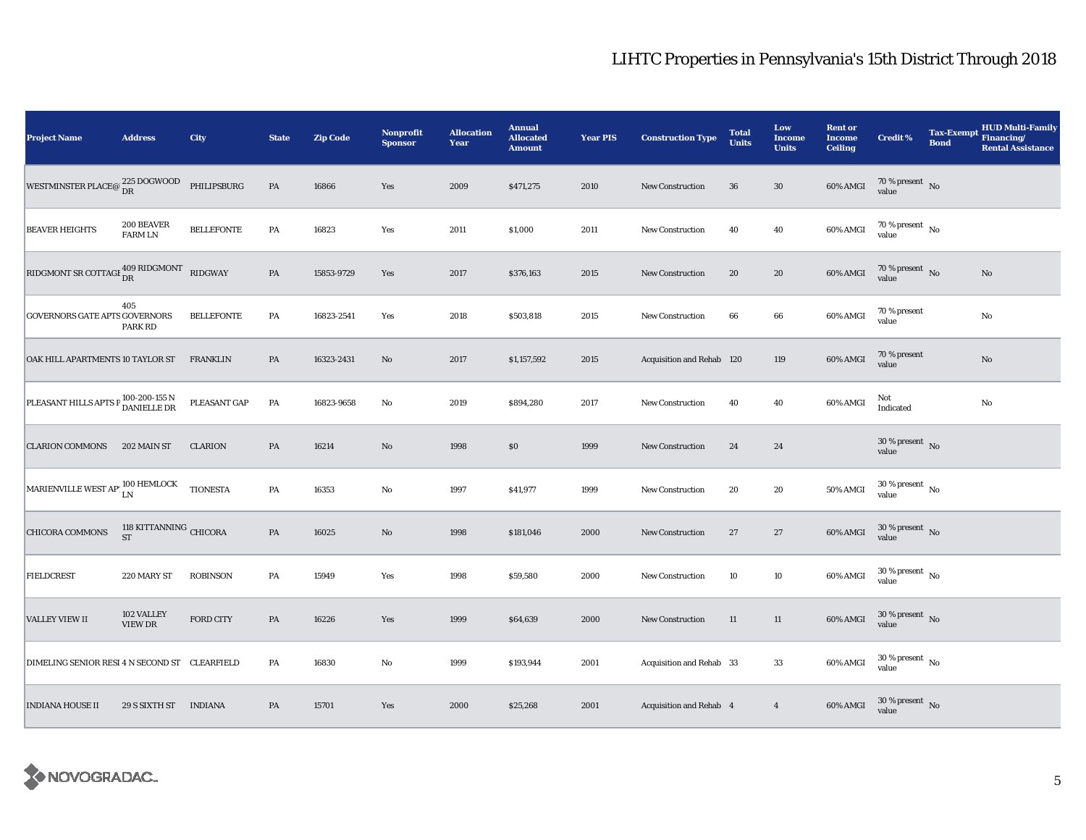| <b>Project Name</b>                                                                                                            | <b>Address</b>                      | City              | <b>State</b>  | <b>Zip Code</b> | <b>Nonprofit</b><br><b>Sponsor</b> | <b>Allocation</b><br>Year | <b>Annual</b><br><b>Allocated</b><br><b>Amount</b> | <b>Year PIS</b> | <b>Construction Type</b>  | <b>Total</b><br><b>Units</b> | Low<br>Income<br><b>Units</b> | <b>Rent or</b><br><b>Income</b><br><b>Ceiling</b> | <b>Credit %</b>                        | <b>Tax-Exempt</b><br><b>Bond</b> | <b>HUD Multi-Family</b><br>Financing/<br><b>Rental Assistance</b> |
|--------------------------------------------------------------------------------------------------------------------------------|-------------------------------------|-------------------|---------------|-----------------|------------------------------------|---------------------------|----------------------------------------------------|-----------------|---------------------------|------------------------------|-------------------------------|---------------------------------------------------|----------------------------------------|----------------------------------|-------------------------------------------------------------------|
| WESTMINSTER PLACE@ $\frac{225 \text{ DOGWOOD}}{\text{DR}}$                                                                     |                                     | PHILIPSBURG       | $\mathbf{PA}$ | 16866           | Yes                                | 2009                      | \$471,275                                          | 2010            | <b>New Construction</b>   | 36                           | $30\,$                        | $60\%$ AMGI                                       | $70\,\%$ present $\,$ No value         |                                  |                                                                   |
| <b>BEAVER HEIGHTS</b>                                                                                                          | 200 BEAVER<br><b>FARM LN</b>        | <b>BELLEFONTE</b> | PA            | 16823           | Yes                                | 2011                      | \$1,000                                            | 2011            | New Construction          | 40                           | 40                            | 60% AMGI                                          | $70\,\%$ present $\,$ No $\,$<br>value |                                  |                                                                   |
| RIDGMONT SR COTTAGE $_{\text{DR}}^{409\text{ RIDGMONT}}$                                                                       |                                     | RIDGWAY           | PA            | 15853-9729      | Yes                                | 2017                      | \$376,163                                          | 2015            | New Construction          | 20                           | ${\bf 20}$                    | 60% AMGI                                          | $70\,\%$ present $\,$ No value         |                                  | $\mathbf{No}$                                                     |
| <b>GOVERNORS GATE APTS GOVERNORS</b>                                                                                           | 405<br><b>PARK RD</b>               | <b>BELLEFONTE</b> | PA            | 16823-2541      | Yes                                | 2018                      | \$503,818                                          | 2015            | <b>New Construction</b>   | 66                           | 66                            | 60% AMGI                                          | 70 % present<br>value                  |                                  | No                                                                |
| OAK HILL APARTMENTS 10 TAYLOR ST                                                                                               |                                     | <b>FRANKLIN</b>   | PA            | 16323-2431      | No                                 | 2017                      | \$1,157,592                                        | 2015            | Acquisition and Rehab 120 |                              | 119                           | 60% AMGI                                          | 70 % present<br>value                  |                                  | $\mathbf{No}$                                                     |
| PLEASANT HILLS APTS P 100-200-155 N                                                                                            |                                     | PLEASANT GAP      | $\mathbf{PA}$ | 16823-9658      | No                                 | 2019                      | \$894,280                                          | 2017            | <b>New Construction</b>   | 40                           | 40                            | 60% AMGI                                          | Not<br>Indicated                       |                                  | $\rm No$                                                          |
| <b>CLARION COMMONS</b>                                                                                                         | 202 MAIN ST                         | <b>CLARION</b>    | PA            | 16214           | No                                 | 1998                      | $\$0$                                              | 1999            | <b>New Construction</b>   | 24                           | 24                            |                                                   | $30\,\%$ present $\,$ No value         |                                  |                                                                   |
| $\begin{array}{ l } \hline \texttt{MARIENTILLE WEST AP} & \textbf{100 HEMLOCK}\\ \hline \texttt{LN} & \texttt{LN} \end{array}$ |                                     | <b>TIONESTA</b>   | PA            | 16353           | No                                 | 1997                      | \$41,977                                           | 1999            | <b>New Construction</b>   | 20                           | 20                            | 50% AMGI                                          | $30\,\%$ present $\,$ No value         |                                  |                                                                   |
| <b>CHICORA COMMONS</b>                                                                                                         | 118 KITTANNING CHICORA<br><b>ST</b> |                   | $\mathbf{PA}$ | 16025           | No                                 | 1998                      | \$181,046                                          | 2000            | New Construction          | 27                           | 27                            | 60% AMGI                                          | $30\,\%$ present $\,$ No value         |                                  |                                                                   |
| <b>FIELDCREST</b>                                                                                                              | 220 MARY ST                         | <b>ROBINSON</b>   | PA            | 15949           | Yes                                | 1998                      | \$59,580                                           | 2000            | New Construction          | 10                           | 10                            | 60% AMGI                                          | $30\,\%$ present $\,$ No value         |                                  |                                                                   |
| <b>VALLEY VIEW II</b>                                                                                                          | 102 VALLEY<br>VIEW DR               | FORD CITY         | $\mathbf{PA}$ | 16226           | Yes                                | 1999                      | \$64,639                                           | 2000            | <b>New Construction</b>   | 11                           | 11                            | 60% AMGI                                          | $30\,\%$ present $\,$ No value         |                                  |                                                                   |
| DIMELING SENIOR RESI 4 N SECOND ST CLEARFIELD                                                                                  |                                     |                   | PA            | 16830           | $\rm No$                           | 1999                      | \$193,944                                          | 2001            | Acquisition and Rehab 33  |                              | 33                            | 60% AMGI                                          | $30\,\%$ present $\,$ No value         |                                  |                                                                   |
| <b>INDIANA HOUSE II</b>                                                                                                        | 29 S SIXTH ST                       | <b>INDIANA</b>    | PA            | 15701           | Yes                                | 2000                      | \$25,268                                           | 2001            | Acquisition and Rehab 4   |                              | $\overline{4}$                | 60% AMGI                                          | $30\,\%$ present $\,$ No value         |                                  |                                                                   |

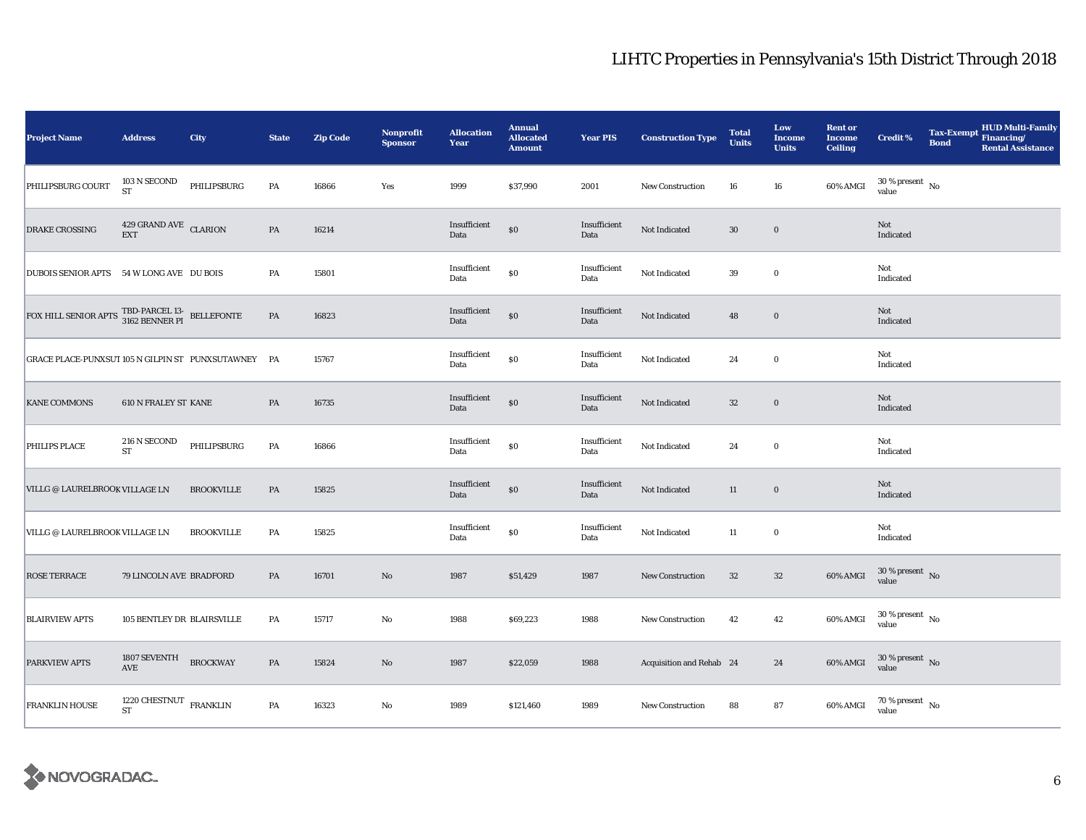| <b>Project Name</b>                                                                                                                                       | <b>Address</b>                               | <b>City</b>       | <b>State</b>  | <b>Zip Code</b> | <b>Nonprofit</b><br><b>Sponsor</b> | <b>Allocation</b><br>Year | <b>Annual</b><br><b>Allocated</b><br><b>Amount</b> | <b>Year PIS</b>      | <b>Construction Type</b> | <b>Total</b><br><b>Units</b> | Low<br><b>Income</b><br><b>Units</b> | <b>Rent or</b><br><b>Income</b><br><b>Ceiling</b> | <b>Credit %</b>                          | Tax-Exempt Financing/<br><b>Bond</b> | <b>HUD Multi-Family</b><br><b>Rental Assistance</b> |
|-----------------------------------------------------------------------------------------------------------------------------------------------------------|----------------------------------------------|-------------------|---------------|-----------------|------------------------------------|---------------------------|----------------------------------------------------|----------------------|--------------------------|------------------------------|--------------------------------------|---------------------------------------------------|------------------------------------------|--------------------------------------|-----------------------------------------------------|
| PHILIPSBURG COURT                                                                                                                                         | 103 N SECOND<br><b>ST</b>                    | PHILIPSBURG       | PA            | 16866           | Yes                                | 1999                      | \$37,990                                           | 2001                 | <b>New Construction</b>  | 16                           | 16                                   | 60% AMGI                                          | $30\,\%$ present $\,$ No value           |                                      |                                                     |
| <b>DRAKE CROSSING</b>                                                                                                                                     | 429 GRAND AVE CLARION<br><b>EXT</b>          |                   | PA            | 16214           |                                    | Insufficient<br>Data      | $\$0$                                              | Insufficient<br>Data | Not Indicated            | $30\,$                       | $\bf{0}$                             |                                                   | Not<br>Indicated                         |                                      |                                                     |
| DUBOIS SENIOR APTS 54 W LONG AVE DU BOIS                                                                                                                  |                                              |                   | PA            | 15801           |                                    | Insufficient<br>Data      | $\$0$                                              | Insufficient<br>Data | Not Indicated            | 39                           | $\mathbf 0$                          |                                                   | Not<br>Indicated                         |                                      |                                                     |
| ${\color{red} \texttt{FOX HILL SENIOR \; APTS \; \;TBD-PARCEL \; 13-}} \begin{array}{ll} \texttt{TED-PARCEL \; 13-} & \texttt{BELLEFONTE} \\ \end{array}$ |                                              |                   | $\mathbf{PA}$ | 16823           |                                    | Insufficient<br>Data      | $\$0$                                              | Insufficient<br>Data | Not Indicated            | 48                           | $\mathbf 0$                          |                                                   | Not<br>Indicated                         |                                      |                                                     |
| GRACE PLACE-PUNXSUT 105 N GILPIN ST PUNXSUTAWNEY PA                                                                                                       |                                              |                   |               | 15767           |                                    | Insufficient<br>Data      | $\$0$                                              | Insufficient<br>Data | Not Indicated            | 24                           | $\bf{0}$                             |                                                   | Not<br>Indicated                         |                                      |                                                     |
| <b>KANE COMMONS</b>                                                                                                                                       | 610 N FRALEY ST KANE                         |                   | PA            | 16735           |                                    | Insufficient<br>Data      | $\$0$                                              | Insufficient<br>Data | Not Indicated            | $32\,$                       | $\mathbf 0$                          |                                                   | Not<br>Indicated                         |                                      |                                                     |
| PHILIPS PLACE                                                                                                                                             | 216 N SECOND<br><b>ST</b>                    | PHILIPSBURG       | PA            | 16866           |                                    | Insufficient<br>Data      | $\$0$                                              | Insufficient<br>Data | Not Indicated            | 24                           | $\bf{0}$                             |                                                   | Not<br>Indicated                         |                                      |                                                     |
| VILLG @ LAURELBROOK VILLAGE LN                                                                                                                            |                                              | <b>BROOKVILLE</b> | $\mathbf{PA}$ | 15825           |                                    | Insufficient<br>Data      | \$0                                                | Insufficient<br>Data | Not Indicated            | $11\,$                       | $\mathbf 0$                          |                                                   | Not<br>Indicated                         |                                      |                                                     |
| VILLG @ LAURELBROOK VILLAGE LN                                                                                                                            |                                              | <b>BROOKVILLE</b> | PA            | 15825           |                                    | Insufficient<br>Data      | $\$0$                                              | Insufficient<br>Data | Not Indicated            | 11                           | $\bf{0}$                             |                                                   | Not<br>Indicated                         |                                      |                                                     |
| <b>ROSE TERRACE</b>                                                                                                                                       | 79 LINCOLN AVE BRADFORD                      |                   | PA            | 16701           | $\mathbf{N}\mathbf{o}$             | 1987                      | \$51,429                                           | 1987                 | <b>New Construction</b>  | $32\,$                       | $32\,$                               | 60% AMGI                                          | $30\,\%$ present $\,$ No value           |                                      |                                                     |
| <b>BLAIRVIEW APTS</b>                                                                                                                                     | 105 BENTLEY DR BLAIRSVILLE                   |                   | PA            | 15717           | No                                 | 1988                      | \$69,223                                           | 1988                 | New Construction         | 42                           | 42                                   | 60% AMGI                                          | $30$ % present $\,$ No $\,$<br>value     |                                      |                                                     |
| <b>PARKVIEW APTS</b>                                                                                                                                      | 1807 SEVENTH<br>$\operatorname{AVE}$         | <b>BROCKWAY</b>   | PA            | 15824           | $\rm No$                           | 1987                      | \$22,059                                           | 1988                 | Acquisition and Rehab 24 |                              | 24                                   | 60% AMGI                                          | $30\,\%$ present $\,$ No value           |                                      |                                                     |
| <b>FRANKLIN HOUSE</b>                                                                                                                                     | 1220 CHESTNUT $$\tt FRANKLIN$$<br>${\rm ST}$ |                   | PA            | 16323           | No                                 | 1989                      | \$121,460                                          | 1989                 | New Construction         | 88                           | 87                                   | 60% AMGI                                          | $70\,\%$ present $_{\, \rm No}$<br>value |                                      |                                                     |